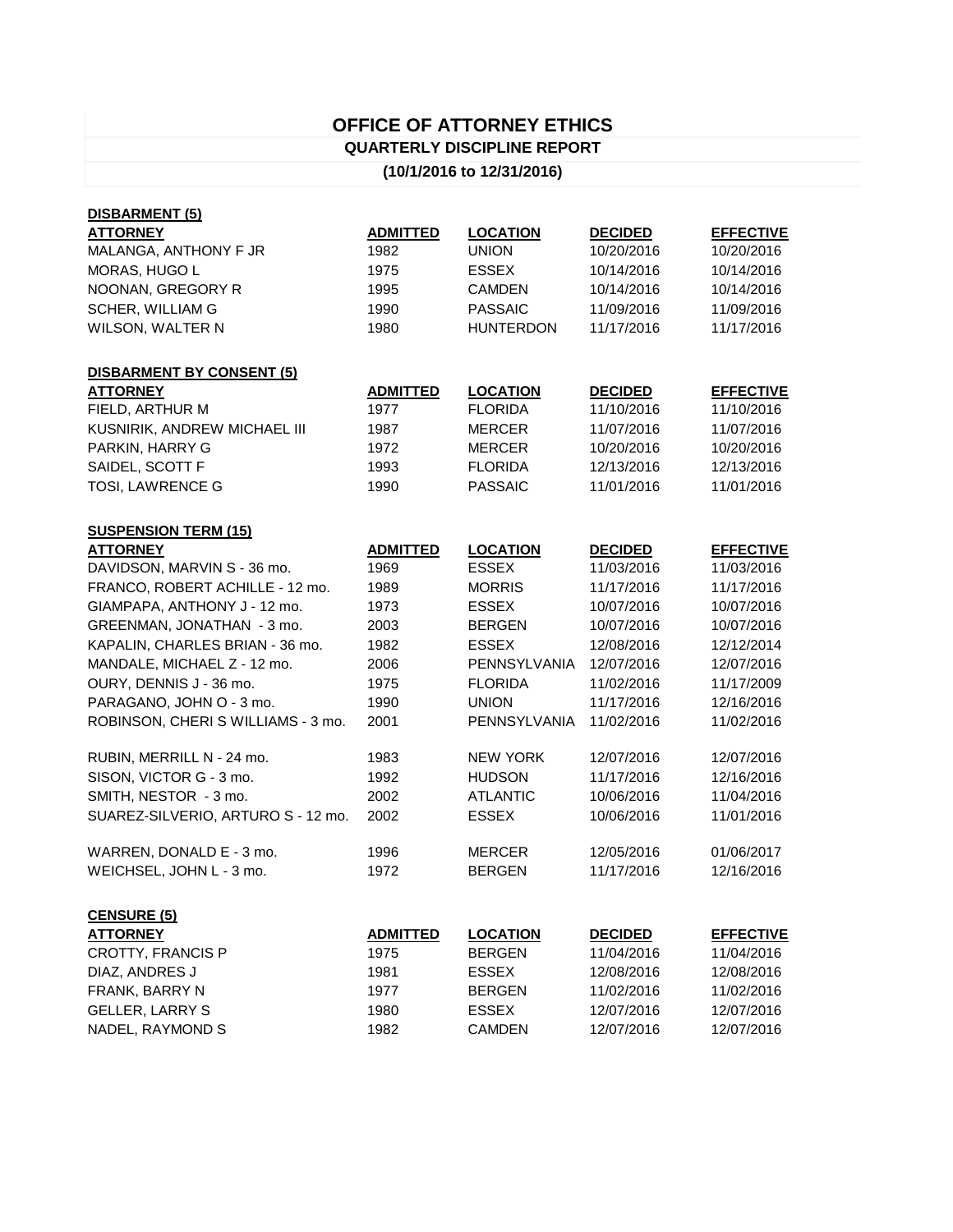## **OFFICE OF ATTORNEY ETHICS QUARTERLY DISCIPLINE REPORT**

## **(10/1/2016 to 12/31/2016)**

| DISBARMENT (5)                     |                 |                  |                |                  |
|------------------------------------|-----------------|------------------|----------------|------------------|
| <b>ATTORNEY</b>                    | <b>ADMITTED</b> | <b>LOCATION</b>  | <b>DECIDED</b> | <b>EFFECTIVE</b> |
| MALANGA, ANTHONY F JR              | 1982            | <b>UNION</b>     | 10/20/2016     | 10/20/2016       |
| MORAS, HUGO L                      | 1975            | <b>ESSEX</b>     | 10/14/2016     | 10/14/2016       |
| NOONAN, GREGORY R                  | 1995            | <b>CAMDEN</b>    | 10/14/2016     | 10/14/2016       |
| SCHER, WILLIAM G                   | 1990            | <b>PASSAIC</b>   | 11/09/2016     | 11/09/2016       |
| WILSON, WALTER N                   | 1980            | <b>HUNTERDON</b> | 11/17/2016     | 11/17/2016       |
| <b>DISBARMENT BY CONSENT (5)</b>   |                 |                  |                |                  |
| <b>ATTORNEY</b>                    | <b>ADMITTED</b> | <b>LOCATION</b>  | <b>DECIDED</b> | <b>EFFECTIVE</b> |
| FIELD, ARTHUR M                    | 1977            | <b>FLORIDA</b>   | 11/10/2016     | 11/10/2016       |
| KUSNIRIK, ANDREW MICHAEL III       | 1987            | <b>MERCER</b>    | 11/07/2016     | 11/07/2016       |
| PARKIN, HARRY G                    | 1972            | <b>MERCER</b>    | 10/20/2016     | 10/20/2016       |
| SAIDEL, SCOTT F                    | 1993            | <b>FLORIDA</b>   | 12/13/2016     | 12/13/2016       |
| TOSI, LAWRENCE G                   | 1990            | <b>PASSAIC</b>   | 11/01/2016     | 11/01/2016       |
| <b>SUSPENSION TERM (15)</b>        |                 |                  |                |                  |
| <b>ATTORNEY</b>                    | <b>ADMITTED</b> | <b>LOCATION</b>  | <b>DECIDED</b> | <b>EFFECTIVE</b> |
| DAVIDSON, MARVIN S - 36 mo.        | 1969            | <b>ESSEX</b>     | 11/03/2016     | 11/03/2016       |
| FRANCO, ROBERT ACHILLE - 12 mo.    | 1989            | <b>MORRIS</b>    | 11/17/2016     | 11/17/2016       |
| GIAMPAPA, ANTHONY J - 12 mo.       | 1973            | <b>ESSEX</b>     | 10/07/2016     | 10/07/2016       |
| GREENMAN, JONATHAN - 3 mo.         | 2003            | <b>BERGEN</b>    | 10/07/2016     | 10/07/2016       |
| KAPALIN, CHARLES BRIAN - 36 mo.    | 1982            | <b>ESSEX</b>     | 12/08/2016     | 12/12/2014       |
| MANDALE, MICHAEL Z - 12 mo.        | 2006            | PENNSYLVANIA     | 12/07/2016     | 12/07/2016       |
| OURY, DENNIS J - 36 mo.            | 1975            | <b>FLORIDA</b>   | 11/02/2016     | 11/17/2009       |
| PARAGANO, JOHN O - 3 mo.           | 1990            | <b>UNION</b>     | 11/17/2016     | 12/16/2016       |
| ROBINSON, CHERI S WILLIAMS - 3 mo. | 2001            | PENNSYLVANIA     | 11/02/2016     | 11/02/2016       |
| RUBIN, MERRILL N - 24 mo.          | 1983            | <b>NEW YORK</b>  | 12/07/2016     | 12/07/2016       |
| SISON, VICTOR G - 3 mo.            | 1992            | <b>HUDSON</b>    | 11/17/2016     | 12/16/2016       |
| SMITH, NESTOR - 3 mo.              | 2002            | <b>ATLANTIC</b>  | 10/06/2016     | 11/04/2016       |
| SUAREZ-SILVERIO, ARTURO S - 12 mo. | 2002            | <b>ESSEX</b>     | 10/06/2016     | 11/01/2016       |
| WARREN, DONALD E - 3 mo.           | 1996            | <b>MERCER</b>    | 12/05/2016     | 01/06/2017       |
| WEICHSEL, JOHN L - 3 mo.           | 1972            | <b>BERGEN</b>    | 11/17/2016     | 12/16/2016       |
| <b>CENSURE (5)</b>                 |                 |                  |                |                  |
| <b>ATTORNEY</b>                    | <b>ADMITTED</b> | <b>LOCATION</b>  | <b>DECIDED</b> | <b>EFFECTIVE</b> |
| <b>CROTTY, FRANCIS P</b>           | 1975            | <b>BERGEN</b>    | 11/04/2016     | 11/04/2016       |
| DIAZ, ANDRES J                     | 1981            | <b>ESSEX</b>     | 12/08/2016     | 12/08/2016       |
| FRANK, BARRY N                     | 1977            | <b>BERGEN</b>    | 11/02/2016     | 11/02/2016       |
| <b>GELLER, LARRY S</b>             | 1980            | <b>ESSEX</b>     | 12/07/2016     | 12/07/2016       |
| NADEL, RAYMOND S                   | 1982            | <b>CAMDEN</b>    | 12/07/2016     | 12/07/2016       |